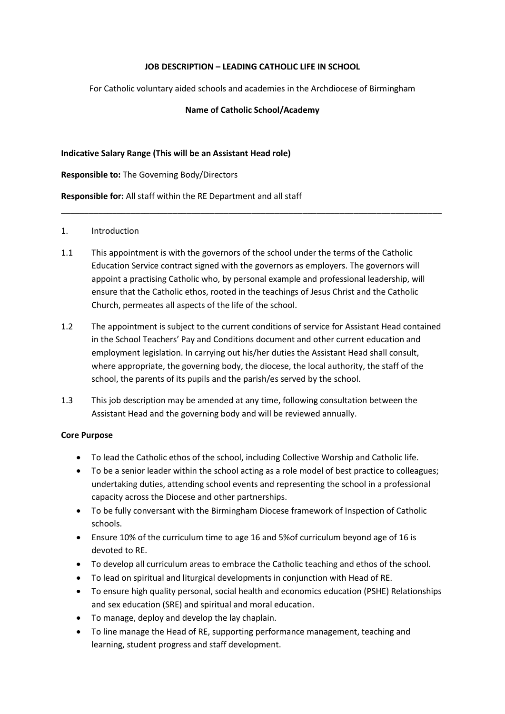### **JOB DESCRIPTION – LEADING CATHOLIC LIFE IN SCHOOL**

For Catholic voluntary aided schools and academies in the Archdiocese of Birmingham

### **Name of Catholic School/Academy**

#### **Indicative Salary Range (This will be an Assistant Head role)**

**Responsible to:** The Governing Body/Directors

**Responsible for:** All staff within the RE Department and all staff

# 1. Introduction

1.1 This appointment is with the governors of the school under the terms of the Catholic Education Service contract signed with the governors as employers. The governors will appoint a practising Catholic who, by personal example and professional leadership, will ensure that the Catholic ethos, rooted in the teachings of Jesus Christ and the Catholic Church, permeates all aspects of the life of the school.

\_\_\_\_\_\_\_\_\_\_\_\_\_\_\_\_\_\_\_\_\_\_\_\_\_\_\_\_\_\_\_\_\_\_\_\_\_\_\_\_\_\_\_\_\_\_\_\_\_\_\_\_\_\_\_\_\_\_\_\_\_\_\_\_\_\_\_\_\_\_\_\_\_\_\_\_\_\_\_\_\_\_

- 1.2 The appointment is subject to the current conditions of service for Assistant Head contained in the School Teachers' Pay and Conditions document and other current education and employment legislation. In carrying out his/her duties the Assistant Head shall consult, where appropriate, the governing body, the diocese, the local authority, the staff of the school, the parents of its pupils and the parish/es served by the school.
- 1.3 This job description may be amended at any time, following consultation between the Assistant Head and the governing body and will be reviewed annually.

#### **Core Purpose**

- To lead the Catholic ethos of the school, including Collective Worship and Catholic life.
- To be a senior leader within the school acting as a role model of best practice to colleagues; undertaking duties, attending school events and representing the school in a professional capacity across the Diocese and other partnerships.
- To be fully conversant with the Birmingham Diocese framework of Inspection of Catholic schools.
- Ensure 10% of the curriculum time to age 16 and 5%of curriculum beyond age of 16 is devoted to RE.
- To develop all curriculum areas to embrace the Catholic teaching and ethos of the school.
- To lead on spiritual and liturgical developments in conjunction with Head of RE.
- To ensure high quality personal, social health and economics education (PSHE) Relationships and sex education (SRE) and spiritual and moral education.
- To manage, deploy and develop the lay chaplain.
- To line manage the Head of RE, supporting performance management, teaching and learning, student progress and staff development.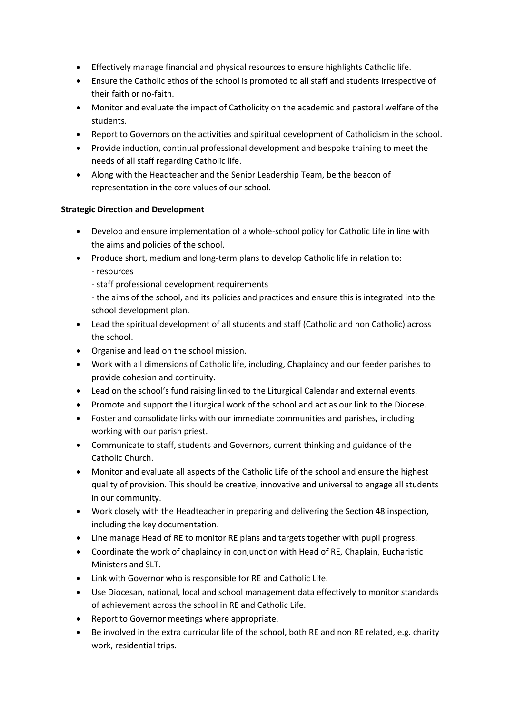- Effectively manage financial and physical resources to ensure highlights Catholic life.
- Ensure the Catholic ethos of the school is promoted to all staff and students irrespective of their faith or no-faith.
- Monitor and evaluate the impact of Catholicity on the academic and pastoral welfare of the students.
- Report to Governors on the activities and spiritual development of Catholicism in the school.
- Provide induction, continual professional development and bespoke training to meet the needs of all staff regarding Catholic life.
- Along with the Headteacher and the Senior Leadership Team, be the beacon of representation in the core values of our school.

# **Strategic Direction and Development**

- Develop and ensure implementation of a whole-school policy for Catholic Life in line with the aims and policies of the school.
- Produce short, medium and long-term plans to develop Catholic life in relation to:
	- resources
	- staff professional development requirements

- the aims of the school, and its policies and practices and ensure this is integrated into the school development plan.

- Lead the spiritual development of all students and staff (Catholic and non Catholic) across the school.
- Organise and lead on the school mission.
- Work with all dimensions of Catholic life, including, Chaplaincy and our feeder parishes to provide cohesion and continuity.
- Lead on the school's fund raising linked to the Liturgical Calendar and external events.
- Promote and support the Liturgical work of the school and act as our link to the Diocese.
- Foster and consolidate links with our immediate communities and parishes, including working with our parish priest.
- Communicate to staff, students and Governors, current thinking and guidance of the Catholic Church.
- Monitor and evaluate all aspects of the Catholic Life of the school and ensure the highest quality of provision. This should be creative, innovative and universal to engage all students in our community.
- Work closely with the Headteacher in preparing and delivering the Section 48 inspection, including the key documentation.
- Line manage Head of RE to monitor RE plans and targets together with pupil progress.
- Coordinate the work of chaplaincy in conjunction with Head of RE, Chaplain, Eucharistic Ministers and SLT.
- Link with Governor who is responsible for RE and Catholic Life.
- Use Diocesan, national, local and school management data effectively to monitor standards of achievement across the school in RE and Catholic Life.
- Report to Governor meetings where appropriate.
- Be involved in the extra curricular life of the school, both RE and non RE related, e.g. charity work, residential trips.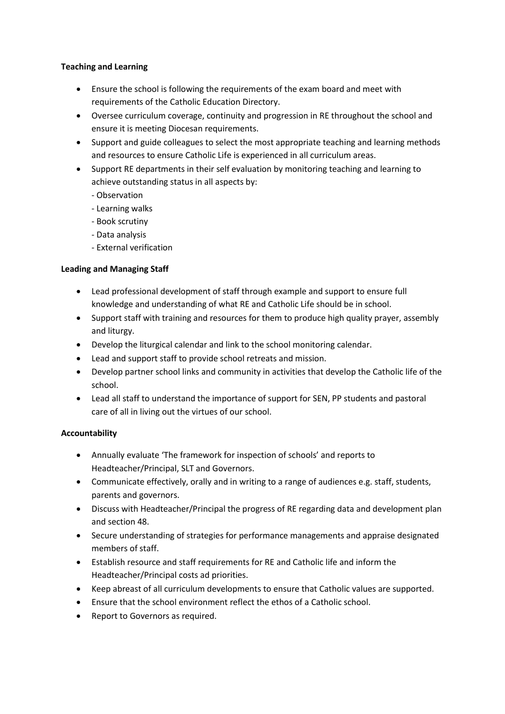### **Teaching and Learning**

- Ensure the school is following the requirements of the exam board and meet with requirements of the Catholic Education Directory.
- Oversee curriculum coverage, continuity and progression in RE throughout the school and ensure it is meeting Diocesan requirements.
- Support and guide colleagues to select the most appropriate teaching and learning methods and resources to ensure Catholic Life is experienced in all curriculum areas.
- Support RE departments in their self evaluation by monitoring teaching and learning to achieve outstanding status in all aspects by:
	- Observation
	- Learning walks
	- Book scrutiny
	- Data analysis
	- External verification

# **Leading and Managing Staff**

- Lead professional development of staff through example and support to ensure full knowledge and understanding of what RE and Catholic Life should be in school.
- Support staff with training and resources for them to produce high quality prayer, assembly and liturgy.
- Develop the liturgical calendar and link to the school monitoring calendar.
- Lead and support staff to provide school retreats and mission.
- Develop partner school links and community in activities that develop the Catholic life of the school.
- Lead all staff to understand the importance of support for SEN, PP students and pastoral care of all in living out the virtues of our school.

# **Accountability**

- Annually evaluate 'The framework for inspection of schools' and reports to Headteacher/Principal, SLT and Governors.
- Communicate effectively, orally and in writing to a range of audiences e.g. staff, students, parents and governors.
- Discuss with Headteacher/Principal the progress of RE regarding data and development plan and section 48.
- Secure understanding of strategies for performance managements and appraise designated members of staff.
- Establish resource and staff requirements for RE and Catholic life and inform the Headteacher/Principal costs ad priorities.
- Keep abreast of all curriculum developments to ensure that Catholic values are supported.
- Ensure that the school environment reflect the ethos of a Catholic school.
- Report to Governors as required.